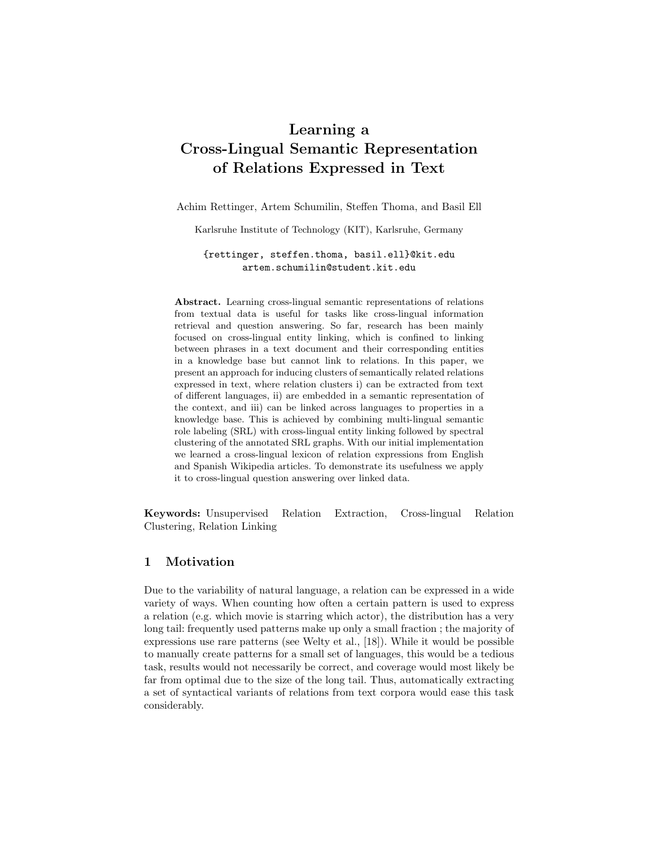# Learning a Cross-Lingual Semantic Representation of Relations Expressed in Text

Achim Rettinger, Artem Schumilin, Steffen Thoma, and Basil Ell

Karlsruhe Institute of Technology (KIT), Karlsruhe, Germany

{rettinger, steffen.thoma, basil.ell}@kit.edu artem.schumilin@student.kit.edu

Abstract. Learning cross-lingual semantic representations of relations from textual data is useful for tasks like cross-lingual information retrieval and question answering. So far, research has been mainly focused on cross-lingual entity linking, which is confined to linking between phrases in a text document and their corresponding entities in a knowledge base but cannot link to relations. In this paper, we present an approach for inducing clusters of semantically related relations expressed in text, where relation clusters i) can be extracted from text of different languages, ii) are embedded in a semantic representation of the context, and iii) can be linked across languages to properties in a knowledge base. This is achieved by combining multi-lingual semantic role labeling (SRL) with cross-lingual entity linking followed by spectral clustering of the annotated SRL graphs. With our initial implementation we learned a cross-lingual lexicon of relation expressions from English and Spanish Wikipedia articles. To demonstrate its usefulness we apply it to cross-lingual question answering over linked data.

Keywords: Unsupervised Relation Extraction, Cross-lingual Relation Clustering, Relation Linking

# 1 Motivation

Due to the variability of natural language, a relation can be expressed in a wide variety of ways. When counting how often a certain pattern is used to express a relation (e.g. which movie is starring which actor), the distribution has a very long tail: frequently used patterns make up only a small fraction ; the majority of expressions use rare patterns (see Welty et al., [\[18\]](#page-14-0)). While it would be possible to manually create patterns for a small set of languages, this would be a tedious task, results would not necessarily be correct, and coverage would most likely be far from optimal due to the size of the long tail. Thus, automatically extracting a set of syntactical variants of relations from text corpora would ease this task considerably.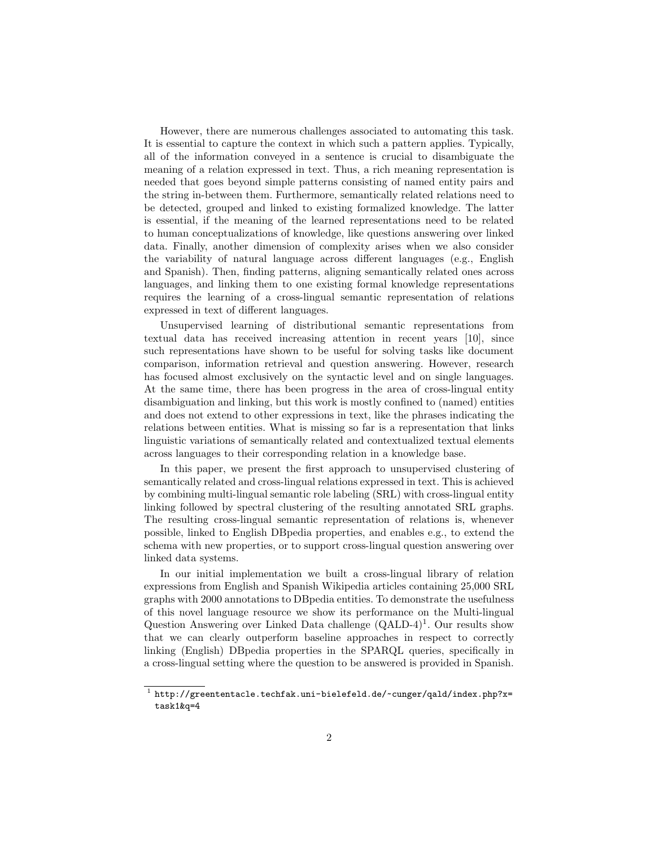However, there are numerous challenges associated to automating this task. It is essential to capture the context in which such a pattern applies. Typically, all of the information conveyed in a sentence is crucial to disambiguate the meaning of a relation expressed in text. Thus, a rich meaning representation is needed that goes beyond simple patterns consisting of named entity pairs and the string in-between them. Furthermore, semantically related relations need to be detected, grouped and linked to existing formalized knowledge. The latter is essential, if the meaning of the learned representations need to be related to human conceptualizations of knowledge, like questions answering over linked data. Finally, another dimension of complexity arises when we also consider the variability of natural language across different languages (e.g., English and Spanish). Then, finding patterns, aligning semantically related ones across languages, and linking them to one existing formal knowledge representations requires the learning of a cross-lingual semantic representation of relations expressed in text of different languages.

Unsupervised learning of distributional semantic representations from textual data has received increasing attention in recent years [\[10\]](#page-14-1), since such representations have shown to be useful for solving tasks like document comparison, information retrieval and question answering. However, research has focused almost exclusively on the syntactic level and on single languages. At the same time, there has been progress in the area of cross-lingual entity disambiguation and linking, but this work is mostly confined to (named) entities and does not extend to other expressions in text, like the phrases indicating the relations between entities. What is missing so far is a representation that links linguistic variations of semantically related and contextualized textual elements across languages to their corresponding relation in a knowledge base.

In this paper, we present the first approach to unsupervised clustering of semantically related and cross-lingual relations expressed in text. This is achieved by combining multi-lingual semantic role labeling (SRL) with cross-lingual entity linking followed by spectral clustering of the resulting annotated SRL graphs. The resulting cross-lingual semantic representation of relations is, whenever possible, linked to English DBpedia properties, and enables e.g., to extend the schema with new properties, or to support cross-lingual question answering over linked data systems.

In our initial implementation we built a cross-lingual library of relation expressions from English and Spanish Wikipedia articles containing 25,000 SRL graphs with 2000 annotations to DBpedia entities. To demonstrate the usefulness of this novel language resource we show its performance on the Multi-lingual Question Answering over Linked Data challenge  $(QALD-4)^1$  $(QALD-4)^1$ . Our results show that we can clearly outperform baseline approaches in respect to correctly linking (English) DBpedia properties in the SPARQL queries, specifically in a cross-lingual setting where the question to be answered is provided in Spanish.

<span id="page-1-0"></span> $^{\rm 1}$  [http://greententacle.techfak.uni-bielefeld.de/~cunger/qald/index.php?x=]( http://greententacle.techfak.uni-bielefeld.de/~cunger/qald/index.php?x=task1&q=4) [task1&q=4]( http://greententacle.techfak.uni-bielefeld.de/~cunger/qald/index.php?x=task1&q=4)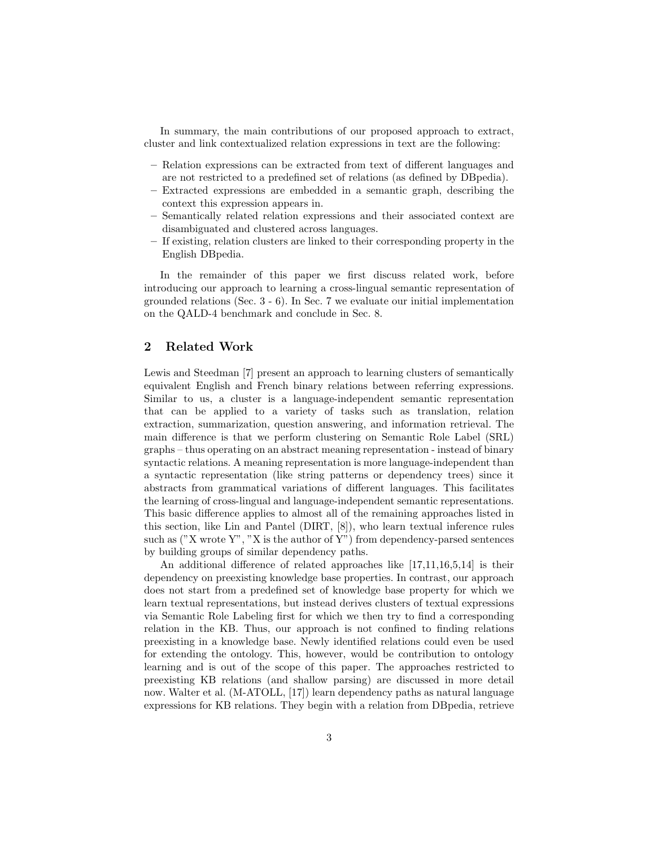In summary, the main contributions of our proposed approach to extract, cluster and link contextualized relation expressions in text are the following:

- Relation expressions can be extracted from text of different languages and are not restricted to a predefined set of relations (as defined by DBpedia).
- Extracted expressions are embedded in a semantic graph, describing the context this expression appears in.
- Semantically related relation expressions and their associated context are disambiguated and clustered across languages.
- If existing, relation clusters are linked to their corresponding property in the English DBpedia.

In the remainder of this paper we first discuss related work, before introducing our approach to learning a cross-lingual semantic representation of grounded relations (Sec. [3](#page-3-0) - [6\)](#page-8-0). In Sec. [7](#page-9-0) we evaluate our initial implementation on the QALD-4 benchmark and conclude in Sec. [8.](#page-13-0)

# 2 Related Work

Lewis and Steedman [\[7\]](#page-14-2) present an approach to learning clusters of semantically equivalent English and French binary relations between referring expressions. Similar to us, a cluster is a language-independent semantic representation that can be applied to a variety of tasks such as translation, relation extraction, summarization, question answering, and information retrieval. The main difference is that we perform clustering on Semantic Role Label (SRL) graphs – thus operating on an abstract meaning representation - instead of binary syntactic relations. A meaning representation is more language-independent than a syntactic representation (like string patterns or dependency trees) since it abstracts from grammatical variations of different languages. This facilitates the learning of cross-lingual and language-independent semantic representations. This basic difference applies to almost all of the remaining approaches listed in this section, like Lin and Pantel (DIRT, [\[8\]](#page-14-3)), who learn textual inference rules such as ("X wrote Y", "X is the author of Y") from dependency-parsed sentences by building groups of similar dependency paths.

An additional difference of related approaches like [\[17,](#page-14-4)[11,](#page-14-5)[16](#page-14-6)[,5,](#page-14-7)[14\]](#page-14-8) is their dependency on preexisting knowledge base properties. In contrast, our approach does not start from a predefined set of knowledge base property for which we learn textual representations, but instead derives clusters of textual expressions via Semantic Role Labeling first for which we then try to find a corresponding relation in the KB. Thus, our approach is not confined to finding relations preexisting in a knowledge base. Newly identified relations could even be used for extending the ontology. This, however, would be contribution to ontology learning and is out of the scope of this paper. The approaches restricted to preexisting KB relations (and shallow parsing) are discussed in more detail now. Walter et al. (M-ATOLL, [\[17\]](#page-14-4)) learn dependency paths as natural language expressions for KB relations. They begin with a relation from DBpedia, retrieve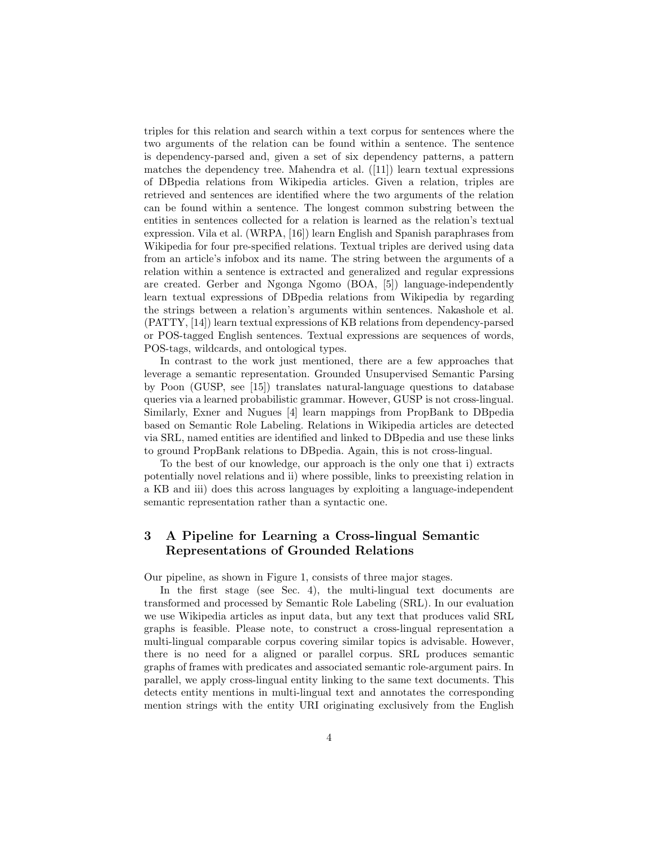triples for this relation and search within a text corpus for sentences where the two arguments of the relation can be found within a sentence. The sentence is dependency-parsed and, given a set of six dependency patterns, a pattern matches the dependency tree. Mahendra et al. ([\[11\]](#page-14-5)) learn textual expressions of DBpedia relations from Wikipedia articles. Given a relation, triples are retrieved and sentences are identified where the two arguments of the relation can be found within a sentence. The longest common substring between the entities in sentences collected for a relation is learned as the relation's textual expression. Vila et al. (WRPA, [\[16\]](#page-14-6)) learn English and Spanish paraphrases from Wikipedia for four pre-specified relations. Textual triples are derived using data from an article's infobox and its name. The string between the arguments of a relation within a sentence is extracted and generalized and regular expressions are created. Gerber and Ngonga Ngomo (BOA, [\[5\]](#page-14-7)) language-independently learn textual expressions of DBpedia relations from Wikipedia by regarding the strings between a relation's arguments within sentences. Nakashole et al. (PATTY, [\[14\]](#page-14-8)) learn textual expressions of KB relations from dependency-parsed or POS-tagged English sentences. Textual expressions are sequences of words, POS-tags, wildcards, and ontological types.

In contrast to the work just mentioned, there are a few approaches that leverage a semantic representation. Grounded Unsupervised Semantic Parsing by Poon (GUSP, see [\[15\]](#page-14-9)) translates natural-language questions to database queries via a learned probabilistic grammar. However, GUSP is not cross-lingual. Similarly, Exner and Nugues [\[4\]](#page-14-10) learn mappings from PropBank to DBpedia based on Semantic Role Labeling. Relations in Wikipedia articles are detected via SRL, named entities are identified and linked to DBpedia and use these links to ground PropBank relations to DBpedia. Again, this is not cross-lingual.

To the best of our knowledge, our approach is the only one that i) extracts potentially novel relations and ii) where possible, links to preexisting relation in a KB and iii) does this across languages by exploiting a language-independent semantic representation rather than a syntactic one.

# <span id="page-3-0"></span>3 A Pipeline for Learning a Cross-lingual Semantic Representations of Grounded Relations

Our pipeline, as shown in Figure [1,](#page-4-0) consists of three major stages.

In the first stage (see Sec. [4\)](#page-4-1), the multi-lingual text documents are transformed and processed by Semantic Role Labeling (SRL). In our evaluation we use Wikipedia articles as input data, but any text that produces valid SRL graphs is feasible. Please note, to construct a cross-lingual representation a multi-lingual comparable corpus covering similar topics is advisable. However, there is no need for a aligned or parallel corpus. SRL produces semantic graphs of frames with predicates and associated semantic role-argument pairs. In parallel, we apply cross-lingual entity linking to the same text documents. This detects entity mentions in multi-lingual text and annotates the corresponding mention strings with the entity URI originating exclusively from the English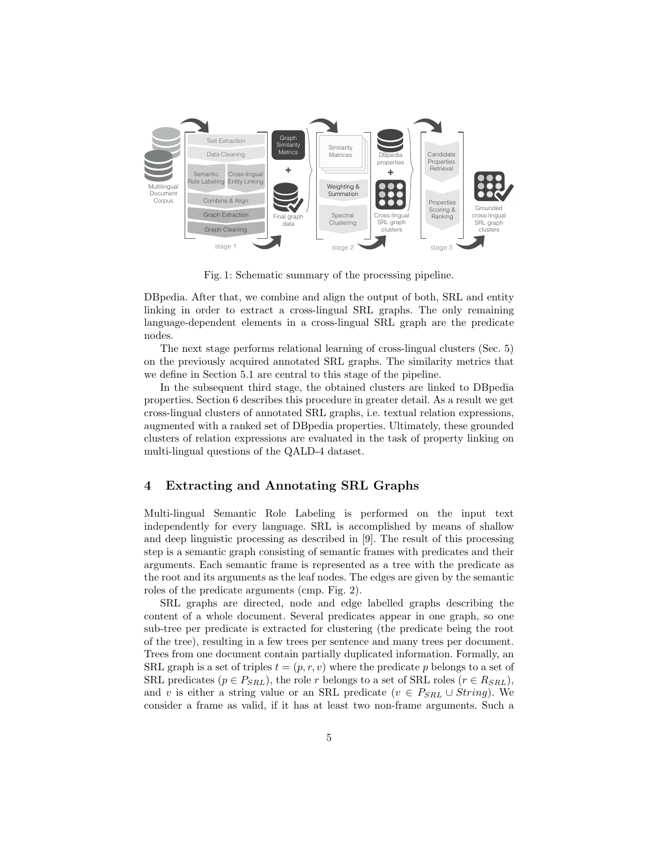<span id="page-4-0"></span>

Fig. 1: Schematic summary of the processing pipeline.

DBpedia. After that, we combine and align the output of both, SRL and entity linking in order to extract a cross-lingual SRL graphs. The only remaining language-dependent elements in a cross-lingual SRL graph are the predicate nodes.

The next stage performs relational learning of cross-lingual clusters (Sec. [5\)](#page-6-0) on the previously acquired annotated SRL graphs. The similarity metrics that we define in Section [5.1](#page-6-1) are central to this stage of the pipeline.

In the subsequent third stage, the obtained clusters are linked to DBpedia properties. Section [6](#page-8-0) describes this procedure in greater detail. As a result we get cross-lingual clusters of annotated SRL graphs, i.e. textual relation expressions, augmented with a ranked set of DBpedia properties. Ultimately, these grounded clusters of relation expressions are evaluated in the task of property linking on multi-lingual questions of the QALD-4 dataset.

### <span id="page-4-1"></span>4 Extracting and Annotating SRL Graphs

Multi-lingual Semantic Role Labeling is performed on the input text independently for every language. SRL is accomplished by means of shallow and deep linguistic processing as described in [\[9\]](#page-14-11). The result of this processing step is a semantic graph consisting of semantic frames with predicates and their arguments. Each semantic frame is represented as a tree with the predicate as the root and its arguments as the leaf nodes. The edges are given by the semantic roles of the predicate arguments (cmp. Fig. [2\)](#page-5-0).

SRL graphs are directed, node and edge labelled graphs describing the content of a whole document. Several predicates appear in one graph, so one sub-tree per predicate is extracted for clustering (the predicate being the root of the tree), resulting in a few trees per sentence and many trees per document. Trees from one document contain partially duplicated information. Formally, an SRL graph is a set of triples  $t = (p, r, v)$  where the predicate p belongs to a set of SRL predicates ( $p \in P_{SRL}$ ), the role r belongs to a set of SRL roles ( $r \in R_{SRL}$ ), and v is either a string value or an SRL predicate ( $v \in P_{SRL} \cup String$ ). We consider a frame as valid, if it has at least two non-frame arguments. Such a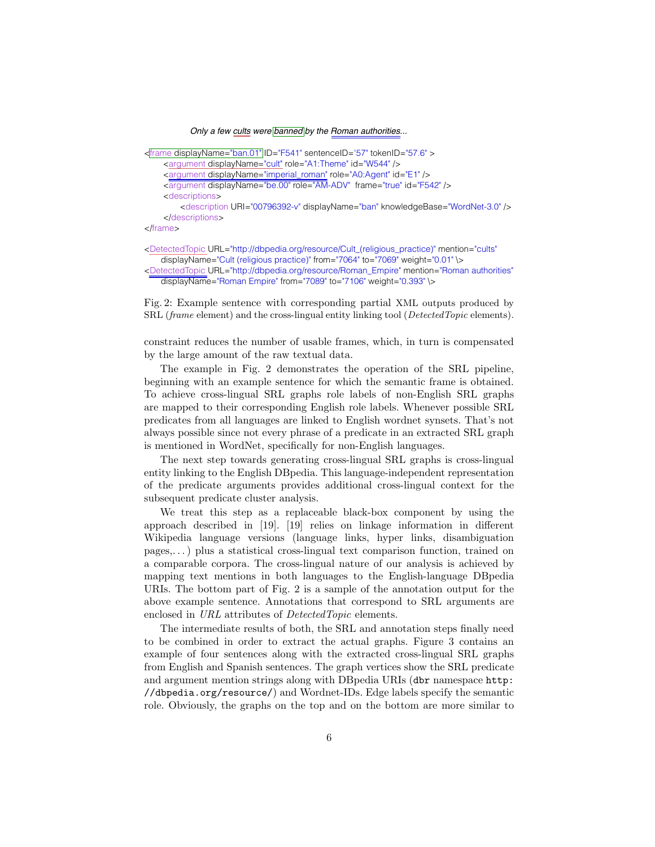### *Only a few cults were banned by the Roman authorities...*

<span id="page-5-0"></span>

| <frame displayname="ban.01" sentenceid="57" tokenid="57.6"  id="F541"/>                                                                                                                             |
|-----------------------------------------------------------------------------------------------------------------------------------------------------------------------------------------------------|
| <argument displayname="cult" id="W544" role="A1:Theme"></argument>                                                                                                                                  |
| <argument displayname="imperial_roman" id="E1" role="A0:Agent"></argument>                                                                                                                          |
| <argument displayname="be.00" frame="true" id="F542" role="AM-ADV"></argument>                                                                                                                      |
| <descriptions></descriptions>                                                                                                                                                                       |
| <description displayname="ban" knowledgebase="WordNet-3.0" uri="00796392-v"></description><br>                                                                                                      |
| $\langle$ frame $\rangle$                                                                                                                                                                           |
| <detectedtopic <br="" mention="cults" url="http://dbpedia.org/resource/Cult_(religious_practice)">displayName="Cult (religious practice)" from="7064" to="7069" weight="0.01" \&gt;</detectedtopic> |

<DetectedTopic URL="http://dbpedia.org/resource/Roman\_Empire" mention="Roman authorities" displayName="Roman Empire" from="7089" to="7106" weight="0.393" \>

Fig. 2: Example sentence with corresponding partial XML outputs produced by SRL (frame element) and the cross-lingual entity linking tool (DetectedTopic elements).

constraint reduces the number of usable frames, which, in turn is compensated by the large amount of the raw textual data.

The example in Fig. [2](#page-5-0) demonstrates the operation of the SRL pipeline, beginning with an example sentence for which the semantic frame is obtained. To achieve cross-lingual SRL graphs role labels of non-English SRL graphs are mapped to their corresponding English role labels. Whenever possible SRL predicates from all languages are linked to English wordnet synsets. That's not always possible since not every phrase of a predicate in an extracted SRL graph is mentioned in WordNet, specifically for non-English languages.

The next step towards generating cross-lingual SRL graphs is cross-lingual entity linking to the English DBpedia. This language-independent representation of the predicate arguments provides additional cross-lingual context for the subsequent predicate cluster analysis.

We treat this step as a replaceable black-box component by using the approach described in [\[19\]](#page-14-12). [\[19\]](#page-14-12) relies on linkage information in different Wikipedia language versions (language links, hyper links, disambiguation pages,. . . ) plus a statistical cross-lingual text comparison function, trained on a comparable corpora. The cross-lingual nature of our analysis is achieved by mapping text mentions in both languages to the English-language DBpedia URIs. The bottom part of Fig. [2](#page-5-0) is a sample of the annotation output for the above example sentence. Annotations that correspond to SRL arguments are enclosed in URL attributes of DetectedTopic elements.

The intermediate results of both, the SRL and annotation steps finally need to be combined in order to extract the actual graphs. Figure [3](#page-6-2) contains an example of four sentences along with the extracted cross-lingual SRL graphs from English and Spanish sentences. The graph vertices show the SRL predicate and argument mention strings along with DBpedia URIs (dbr namespace [http:](http://dbpedia.org/resource/) [//dbpedia.org/resource/](http://dbpedia.org/resource/)) and Wordnet-IDs. Edge labels specify the semantic role. Obviously, the graphs on the top and on the bottom are more similar to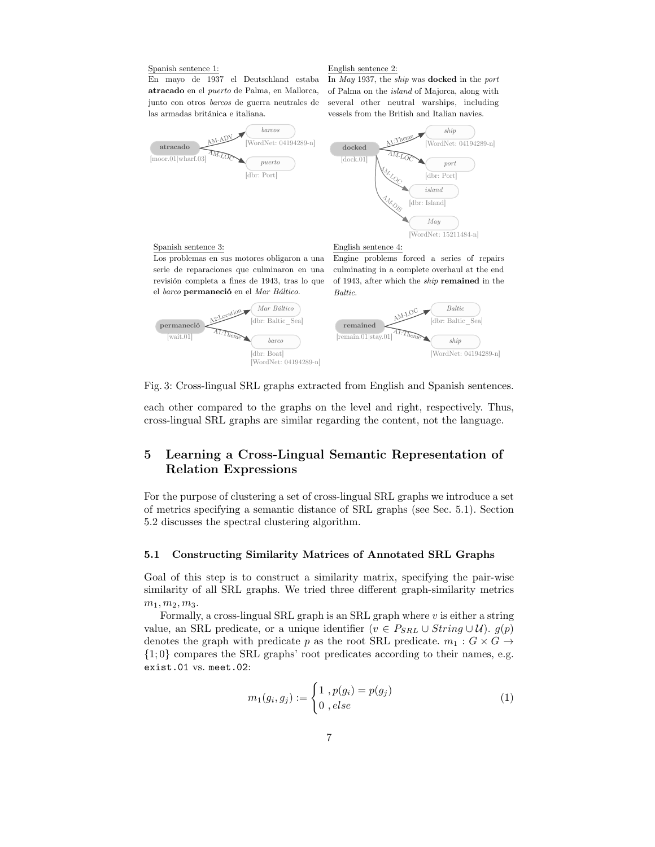#### Spanish sentence 1:

En mayo de 1937 el Deutschland estaba **atracado** en el *puerto* de Palma, en Mallorca, junto con otros *barcos* de guerra neutrales de las armadas británica e italiana.

#### English sentence 2:

In *May* 1937, the *ship* was **docked** in the *port* of Palma on the *island* of Majorca, along with several other neutral warships, including vessels from the British and Italian navies.

<span id="page-6-2"></span>

#### Spanish sentence 3:

Los problemas en sus motores obligaron a una serie de reparaciones que culminaron en una revisión completa a fines de 1943, tras lo que el *barco* **permaneció** en el *Mar Báltico*.

Engine problems forced a series of repairs culminating in a complete overhaul at the end of 1943, after which the *ship* **remained** in the *Baltic*.



### Fig. 3: Cross-lingual SRL graphs extracted from English and Spanish sentences.

each other compared to the graphs on the level and right, respectively. Thus, cross-lingual SRL graphs are similar regarding the content, not the language.

# <span id="page-6-0"></span>5 Learning a Cross-Lingual Semantic Representation of Relation Expressions

For the purpose of clustering a set of cross-lingual SRL graphs we introduce a set of metrics specifying a semantic distance of SRL graphs (see Sec. [5.1\)](#page-6-1). Section [5.2](#page-7-0) discusses the spectral clustering algorithm.

### <span id="page-6-1"></span>5.1 Constructing Similarity Matrices of Annotated SRL Graphs

Goal of this step is to construct a similarity matrix, specifying the pair-wise similarity of all SRL graphs. We tried three different graph-similarity metrics  $m_1, m_2, m_3.$ 

Formally, a cross-lingual SRL graph is an SRL graph where  $v$  is either a string value, an SRL predicate, or a unique identifier  $(v \in P_{SRL} \cup String \cup \mathcal{U})$ .  $g(p)$ denotes the graph with predicate p as the root SRL predicate.  $m_1 : G \times G \rightarrow$ {1; 0} compares the SRL graphs' root predicates according to their names, e.g. exist.01 vs. meet.02:

$$
m_1(g_i, g_j) := \begin{cases} 1 \ , p(g_i) = p(g_j) \\ 0 \ , else \end{cases} \tag{1}
$$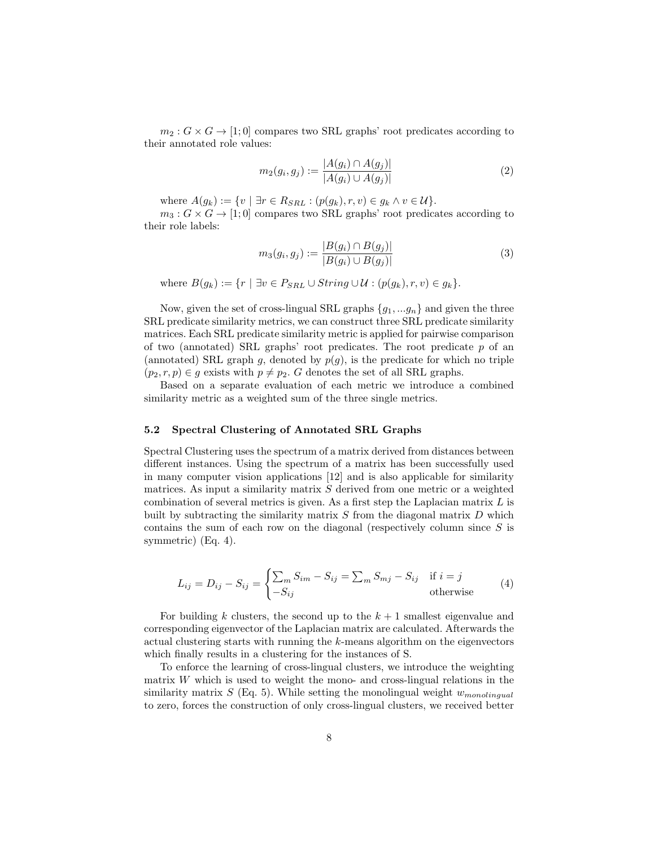$m_2: G \times G \to [1; 0]$  compares two SRL graphs' root predicates according to their annotated role values:

$$
m_2(g_i, g_j) := \frac{|A(g_i) \cap A(g_j)|}{|A(g_i) \cup A(g_j)|} \tag{2}
$$

where  $A(g_k) := \{v \mid \exists r \in R_{SRL} : (p(g_k), r, v) \in g_k \land v \in \mathcal{U}\}.$ 

 $m_3: G \times G \to [1, 0]$  compares two SRL graphs' root predicates according to their role labels:

$$
m_3(g_i, g_j) := \frac{|B(g_i) \cap B(g_j)|}{|B(g_i) \cup B(g_j)|} \tag{3}
$$

where  $B(g_k) := \{r \mid \exists v \in P_{SRL} \cup String \cup \mathcal{U} : (p(g_k), r, v) \in g_k\}.$ 

Now, given the set of cross-lingual SRL graphs  $\{g_1, \ldots, g_n\}$  and given the three SRL predicate similarity metrics, we can construct three SRL predicate similarity matrices. Each SRL predicate similarity metric is applied for pairwise comparison of two (annotated) SRL graphs' root predicates. The root predicate  $p$  of an (annotated) SRL graph g, denoted by  $p(g)$ , is the predicate for which no triple  $(p_2, r, p) \in g$  exists with  $p \neq p_2$ . G denotes the set of all SRL graphs.

Based on a separate evaluation of each metric we introduce a combined similarity metric as a weighted sum of the three single metrics.

### <span id="page-7-0"></span>5.2 Spectral Clustering of Annotated SRL Graphs

Spectral Clustering uses the spectrum of a matrix derived from distances between different instances. Using the spectrum of a matrix has been successfully used in many computer vision applications [\[12\]](#page-14-13) and is also applicable for similarity matrices. As input a similarity matrix  $S$  derived from one metric or a weighted combination of several metrics is given. As a first step the Laplacian matrix  $L$  is built by subtracting the similarity matrix  $S$  from the diagonal matrix  $D$  which contains the sum of each row on the diagonal (respectively column since  $S$  is symmetric) (Eq. [4\)](#page-7-1).

<span id="page-7-1"></span>
$$
L_{ij} = D_{ij} - S_{ij} = \begin{cases} \sum_{m} S_{im} - S_{ij} = \sum_{m} S_{mj} - S_{ij} & \text{if } i = j \\ -S_{ij} & \text{otherwise} \end{cases}
$$
(4)

For building k clusters, the second up to the  $k + 1$  smallest eigenvalue and corresponding eigenvector of the Laplacian matrix are calculated. Afterwards the actual clustering starts with running the k-means algorithm on the eigenvectors which finally results in a clustering for the instances of S.

To enforce the learning of cross-lingual clusters, we introduce the weighting matrix  $W$  which is used to weight the mono- and cross-lingual relations in the similarity matrix  $S$  (Eq. [5\)](#page-8-1). While setting the monolingual weight  $w_{monolinaual}$ to zero, forces the construction of only cross-lingual clusters, we received better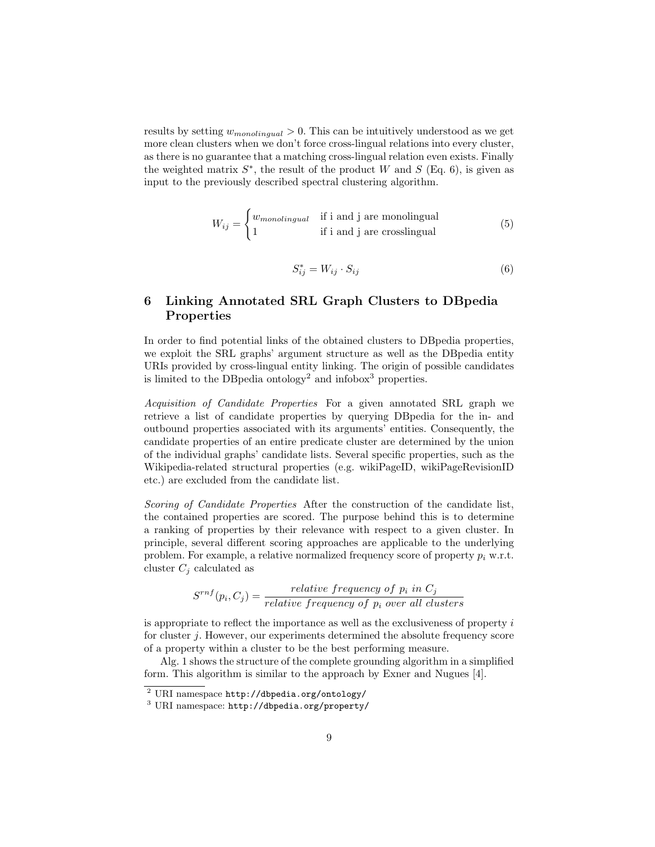results by setting  $w_{monolingual} > 0$ . This can be intuitively understood as we get more clean clusters when we don't force cross-lingual relations into every cluster, as there is no guarantee that a matching cross-lingual relation even exists. Finally the weighted matrix  $S^*$ , the result of the product W and S (Eq. [6\)](#page-8-2), is given as input to the previously described spectral clustering algorithm.

<span id="page-8-1"></span>
$$
W_{ij} = \begin{cases} w_{monolingual} & \text{if } i \text{ and } j \text{ are monolingual} \\ 1 & \text{if } i \text{ and } j \text{ are crosslingual} \end{cases}
$$
 (5)

<span id="page-8-2"></span>
$$
S_{ij}^* = W_{ij} \cdot S_{ij} \tag{6}
$$

# <span id="page-8-0"></span>6 Linking Annotated SRL Graph Clusters to DBpedia Properties

In order to find potential links of the obtained clusters to DBpedia properties, we exploit the SRL graphs' argument structure as well as the DBpedia entity URIs provided by cross-lingual entity linking. The origin of possible candidates is limited to the DB<br>pedia  $\mathrm{ontology}^2$  $\mathrm{ontology}^2$  and  $\mathrm{infobox}^3$  $\mathrm{infobox}^3$  properties.

Acquisition of Candidate Properties For a given annotated SRL graph we retrieve a list of candidate properties by querying DBpedia for the in- and outbound properties associated with its arguments' entities. Consequently, the candidate properties of an entire predicate cluster are determined by the union of the individual graphs' candidate lists. Several specific properties, such as the Wikipedia-related structural properties (e.g. wikiPageID, wikiPageRevisionID etc.) are excluded from the candidate list.

Scoring of Candidate Properties After the construction of the candidate list, the contained properties are scored. The purpose behind this is to determine a ranking of properties by their relevance with respect to a given cluster. In principle, several different scoring approaches are applicable to the underlying problem. For example, a relative normalized frequency score of property  $p_i$  w.r.t. cluster  $C_j$  calculated as

$$
S^{rnf}(p_i, C_j) = \frac{relative\ frequency\ of\ p_i\ in\ C_j}{relative\ frequency\ of\ p_i\ over\ all\ clusters}
$$

is appropriate to reflect the importance as well as the exclusiveness of property  $i$ for cluster  $j$ . However, our experiments determined the absolute frequency score of a property within a cluster to be the best performing measure.

Alg. [1](#page-9-1) shows the structure of the complete grounding algorithm in a simplified form. This algorithm is similar to the approach by Exner and Nugues [\[4\]](#page-14-10).

<span id="page-8-3"></span><sup>2</sup> URI namespace <http://dbpedia.org/ontology/>

<span id="page-8-4"></span><sup>3</sup> URI namespace: <http://dbpedia.org/property/>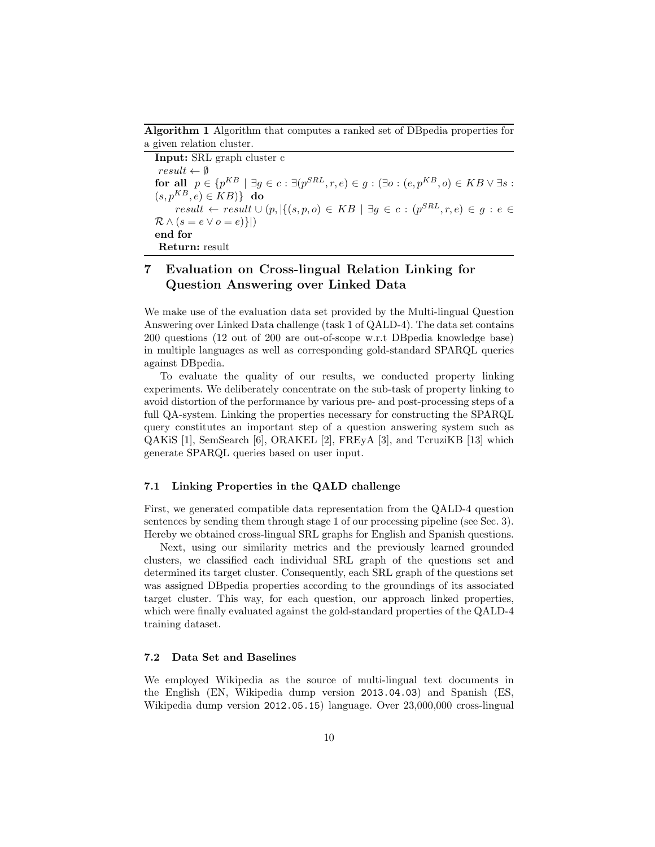<span id="page-9-1"></span>Algorithm 1 Algorithm that computes a ranked set of DBpedia properties for a given relation cluster.

Input: SRL graph cluster c  $result \leftarrow \emptyset$ for all  $p \in \{p^{KB} \mid \exists g \in c : \exists (p^{SRL}, r, e) \in g : (\exists o : (e, p^{KB}, o) \in KB \vee \exists s :$  $(s, p<sup>KB</sup>, e) \in KB) \$  do  $result \leftarrow result \cup (p, |\{(s, p, o) \in KB \mid \exists g \in c : (p^{SRL}, r, e) \in g : e \in$  $\mathcal{R} \wedge (s = e \vee o = e)$ ] end for Return: result

# <span id="page-9-0"></span>7 Evaluation on Cross-lingual Relation Linking for Question Answering over Linked Data

We make use of the evaluation data set provided by the Multi-lingual Question Answering over Linked Data challenge (task 1 of QALD-4). The data set contains 200 questions (12 out of 200 are out-of-scope w.r.t DBpedia knowledge base) in multiple languages as well as corresponding gold-standard SPARQL queries against DBpedia.

To evaluate the quality of our results, we conducted property linking experiments. We deliberately concentrate on the sub-task of property linking to avoid distortion of the performance by various pre- and post-processing steps of a full QA-system. Linking the properties necessary for constructing the SPARQL query constitutes an important step of a question answering system such as QAKiS [\[1\]](#page-13-1), SemSearch [\[6\]](#page-14-14), ORAKEL [\[2\]](#page-13-2), FREyA [\[3\]](#page-13-3), and TcruziKB [\[13\]](#page-14-15) which generate SPARQL queries based on user input.

### 7.1 Linking Properties in the QALD challenge

First, we generated compatible data representation from the QALD-4 question sentences by sending them through stage 1 of our processing pipeline (see Sec. [3\)](#page-3-0). Hereby we obtained cross-lingual SRL graphs for English and Spanish questions.

Next, using our similarity metrics and the previously learned grounded clusters, we classified each individual SRL graph of the questions set and determined its target cluster. Consequently, each SRL graph of the questions set was assigned DBpedia properties according to the groundings of its associated target cluster. This way, for each question, our approach linked properties, which were finally evaluated against the gold-standard properties of the QALD-4 training dataset.

### 7.2 Data Set and Baselines

We employed Wikipedia as the source of multi-lingual text documents in the English (EN, Wikipedia dump version 2013.04.03) and Spanish (ES, Wikipedia dump version 2012.05.15) language. Over 23,000,000 cross-lingual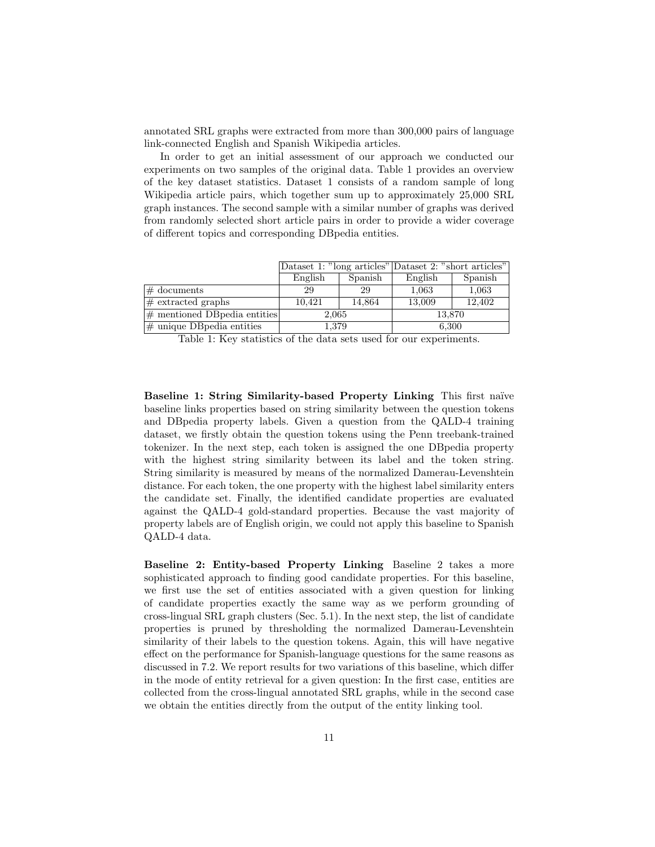annotated SRL graphs were extracted from more than 300,000 pairs of language link-connected English and Spanish Wikipedia articles.

In order to get an initial assessment of our approach we conducted our experiments on two samples of the original data. Table [1](#page-10-0) provides an overview of the key dataset statistics. Dataset 1 consists of a random sample of long Wikipedia article pairs, which together sum up to approximately 25,000 SRL graph instances. The second sample with a similar number of graphs was derived from randomly selected short article pairs in order to provide a wider coverage of different topics and corresponding DBpedia entities.

<span id="page-10-0"></span>

|                                   |         |         | Dataset 1: "long articles" Dataset 2: "short articles" |         |  |
|-----------------------------------|---------|---------|--------------------------------------------------------|---------|--|
|                                   | English | Spanish | English                                                | Spanish |  |
| $ \#$ documents                   | 29      | 29      | 1,063                                                  | 1,063   |  |
| $\#$ extracted graphs             | 10.421  | 14,864  | 13,009                                                 | 12,402  |  |
| $ \#$ mentioned DB pedia entities | 2,065   |         | 13,870                                                 |         |  |
| $ \#$ unique DB pedia entities    | 1,379   |         | 6,300                                                  |         |  |

Table 1: Key statistics of the data sets used for our experiments.

<span id="page-10-1"></span>Baseline 1: String Similarity-based Property Linking This first naïve baseline links properties based on string similarity between the question tokens and DBpedia property labels. Given a question from the QALD-4 training dataset, we firstly obtain the question tokens using the Penn treebank-trained tokenizer. In the next step, each token is assigned the one DBpedia property with the highest string similarity between its label and the token string. String similarity is measured by means of the normalized Damerau-Levenshtein distance. For each token, the one property with the highest label similarity enters the candidate set. Finally, the identified candidate properties are evaluated against the QALD-4 gold-standard properties. Because the vast majority of property labels are of English origin, we could not apply this baseline to Spanish QALD-4 data.

Baseline 2: Entity-based Property Linking Baseline 2 takes a more sophisticated approach to finding good candidate properties. For this baseline, we first use the set of entities associated with a given question for linking of candidate properties exactly the same way as we perform grounding of cross-lingual SRL graph clusters (Sec. [5.1\)](#page-6-1). In the next step, the list of candidate properties is pruned by thresholding the normalized Damerau-Levenshtein similarity of their labels to the question tokens. Again, this will have negative effect on the performance for Spanish-language questions for the same reasons as discussed in [7.2.](#page-10-1) We report results for two variations of this baseline, which differ in the mode of entity retrieval for a given question: In the first case, entities are collected from the cross-lingual annotated SRL graphs, while in the second case we obtain the entities directly from the output of the entity linking tool.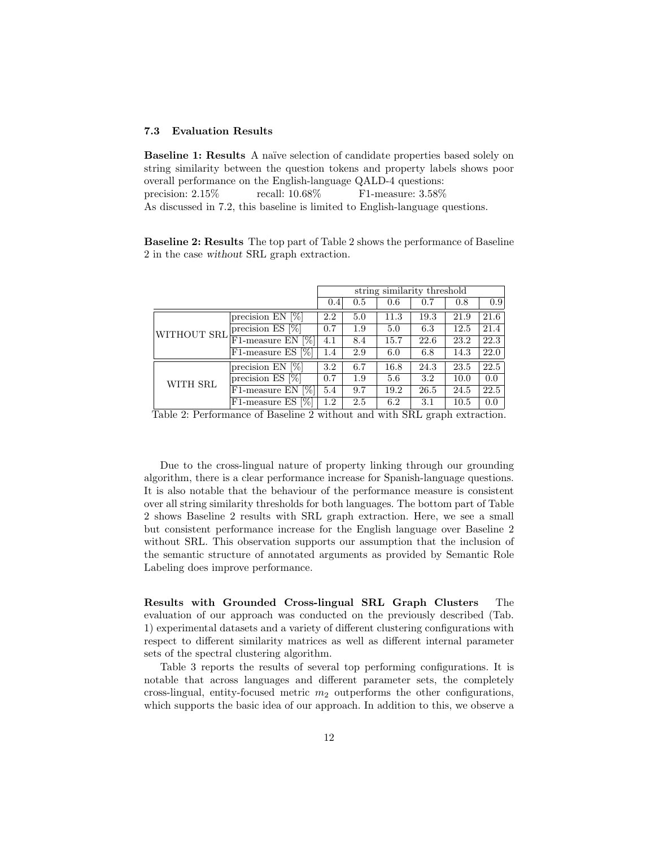### 7.3 Evaluation Results

**Baseline 1: Results** A naïve selection of candidate properties based solely on string similarity between the question tokens and property labels shows poor overall performance on the English-language QALD-4 questions: precision: 2.15% recall: 10.68% F1-measure: 3.58% As discussed in [7.2,](#page-10-1) this baseline is limited to English-language questions.

Baseline 2: Results The top part of Table [2](#page-11-0) shows the performance of Baseline 2 in the case without SRL graph extraction.

<span id="page-11-0"></span>

|             |                      | string similarity threshold |     |      |      |      |      |
|-------------|----------------------|-----------------------------|-----|------|------|------|------|
|             |                      | 0.4                         | 0.5 | 0.6  | 0.7  | 0.8  | 0.9  |
| WITHOUT SRL | precision $EN [\%]$  | 2.2                         | 5.0 | 11.3 | 19.3 | 21.9 | 21.6 |
|             | precision ES $[\%]$  | 0.7                         | 1.9 | 5.0  | 6.3  | 12.5 | 21.4 |
|             | F1-measure EN $[\%]$ | 4.1                         | 8.4 | 15.7 | 22.6 | 23.2 | 22.3 |
|             | F1-measure ES [%]    | 1.4                         | 2.9 | 6.0  | 6.8  | 14.3 | 22.0 |
| WITH SRL    | precision $EN [\%]$  | 3.2                         | 6.7 | 16.8 | 24.3 | 23.5 | 22.5 |
|             | precision $ES [\%]$  | 0.7                         | 1.9 | 5.6  | 3.2  | 10.0 | 0.0  |
|             | F1-measure EN $[\%]$ | 5.4                         | 9.7 | 19.2 | 26.5 | 24.5 | 22.5 |
|             | F1-measure ES [%]    | $1.2\,$                     | 2.5 | 6.2  | 3.1  | 10.5 | 0.0  |

Table 2: Performance of Baseline 2 without and with SRL graph extraction.

Due to the cross-lingual nature of property linking through our grounding algorithm, there is a clear performance increase for Spanish-language questions. It is also notable that the behaviour of the performance measure is consistent over all string similarity thresholds for both languages. The bottom part of Table [2](#page-11-0) shows Baseline 2 results with SRL graph extraction. Here, we see a small but consistent performance increase for the English language over Baseline 2 without SRL. This observation supports our assumption that the inclusion of the semantic structure of annotated arguments as provided by Semantic Role Labeling does improve performance.

Results with Grounded Cross-lingual SRL Graph Clusters The evaluation of our approach was conducted on the previously described (Tab. [1\)](#page-10-0) experimental datasets and a variety of different clustering configurations with respect to different similarity matrices as well as different internal parameter sets of the spectral clustering algorithm.

Table [3](#page-12-0) reports the results of several top performing configurations. It is notable that across languages and different parameter sets, the completely cross-lingual, entity-focused metric  $m_2$  outperforms the other configurations, which supports the basic idea of our approach. In addition to this, we observe a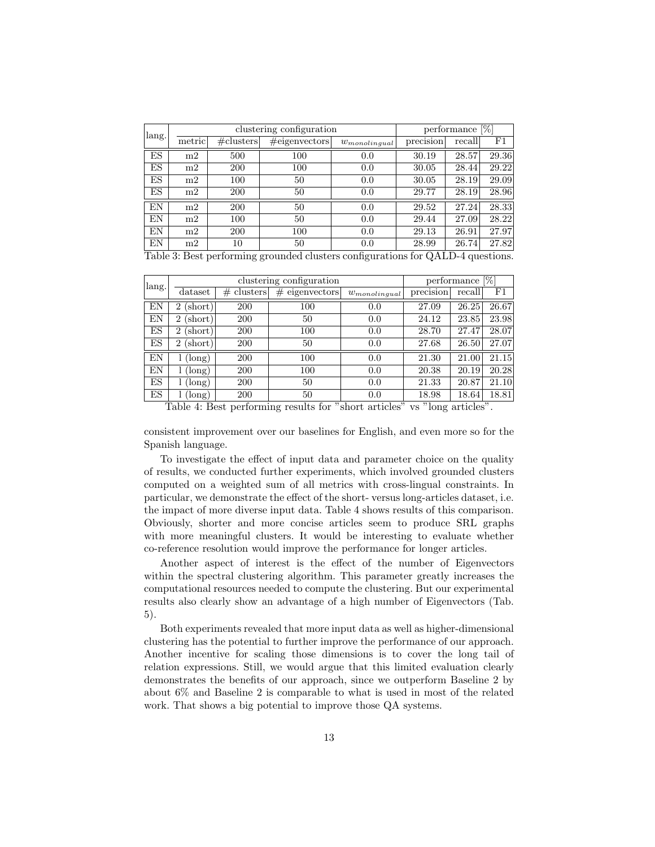<span id="page-12-0"></span>

| lang. |        | clustering configuration |                   |                   |           | performance $[\%]$ |       |  |
|-------|--------|--------------------------|-------------------|-------------------|-----------|--------------------|-------|--|
|       | metric | $\# clusters$            | $\#$ eigenvectors | $w_{monolinqual}$ | precision | recall             | F1    |  |
| ES    | m2     | 500                      | 100               | 0.0               | 30.19     | 28.57              | 29.36 |  |
| ES    | m2     | 200                      | 100               | 0.0               | 30.05     | 28.44              | 29.22 |  |
| ES    | m2     | 100                      | 50                | 0.0               | 30.05     | 28.19              | 29.09 |  |
| ES    | m2     | 200                      | 50                | 0.0               | 29.77     | 28.19              | 28.96 |  |
| EN    | m2     | 200                      | 50                | 0.0               | 29.52     | 27.24              | 28.33 |  |
| EN    | m2     | 100                      | 50                | 0.0               | 29.44     | 27.09              | 28.22 |  |
| EN    | m2     | 200                      | 100               | 0.0               | 29.13     | 26.91              | 27.97 |  |
| EN    | m2     | 10                       | 50                | 0.0               | 28.99     | 26.74              | 27.82 |  |

Table 3: Best performing grounded clusters configurations for QALD-4 questions.

<span id="page-12-1"></span>

|                                    | performance        |     | $[\%]$                                                         |                                 |                   |             |
|------------------------------------|--------------------|-----|----------------------------------------------------------------|---------------------------------|-------------------|-------------|
| dataset                            | #<br>clusters      | #   | $w_{monolingual}$                                              | precision                       | recall            | $_{\rm F1}$ |
| $(\text{short})$<br>$\overline{2}$ | 200                | 100 | 0.0                                                            | 27.09                           | 26.25             | 26.67       |
| short)<br>2                        | 200                | 50  | 0.0                                                            | 24.12                           | 23.85             | 23.98       |
| (short)<br>2                       | 200                | 100 | 0.0                                                            | 28.70                           | 27.47             | 28.07       |
| (short)<br>2                       | 200                | 50  | 0.0                                                            | 27.68                           | 26.50             | 27.07       |
| $\lceil \text{long} \rceil$        | 200                | 100 | 0.0                                                            | 21.30                           | 21.00             | 21.15       |
| long)                              | 200                | 100 | 0.0                                                            | 20.38                           | 20.19             | 20.28       |
| $\lceil \text{long} \rceil$        | 200                | 50  | 0.0                                                            | 21.33                           | 20.87             | 21.10       |
| (long)                             | 200                | 50  | 0.0                                                            | 18.98                           | 18.64             | 18.81       |
|                                    | m11.4 <sub>D</sub> | c   | clustering configuration<br>$\bullet$<br>$1 \cdot \cdot \cdot$ | eigenvectors<br>$22 - 1$<br>. 1 | 99<br><b>11.1</b> | $\cdots$    |

Table 4: Best performing results for "short articles" vs "long articles".

consistent improvement over our baselines for English, and even more so for the Spanish language.

To investigate the effect of input data and parameter choice on the quality of results, we conducted further experiments, which involved grounded clusters computed on a weighted sum of all metrics with cross-lingual constraints. In particular, we demonstrate the effect of the short- versus long-articles dataset, i.e. the impact of more diverse input data. Table [4](#page-12-1) shows results of this comparison. Obviously, shorter and more concise articles seem to produce SRL graphs with more meaningful clusters. It would be interesting to evaluate whether co-reference resolution would improve the performance for longer articles.

Another aspect of interest is the effect of the number of Eigenvectors within the spectral clustering algorithm. This parameter greatly increases the computational resources needed to compute the clustering. But our experimental results also clearly show an advantage of a high number of Eigenvectors (Tab. [5\)](#page-13-4).

Both experiments revealed that more input data as well as higher-dimensional clustering has the potential to further improve the performance of our approach. Another incentive for scaling those dimensions is to cover the long tail of relation expressions. Still, we would argue that this limited evaluation clearly demonstrates the benefits of our approach, since we outperform Baseline 2 by about 6% and Baseline 2 is comparable to what is used in most of the related work. That shows a big potential to improve those QA systems.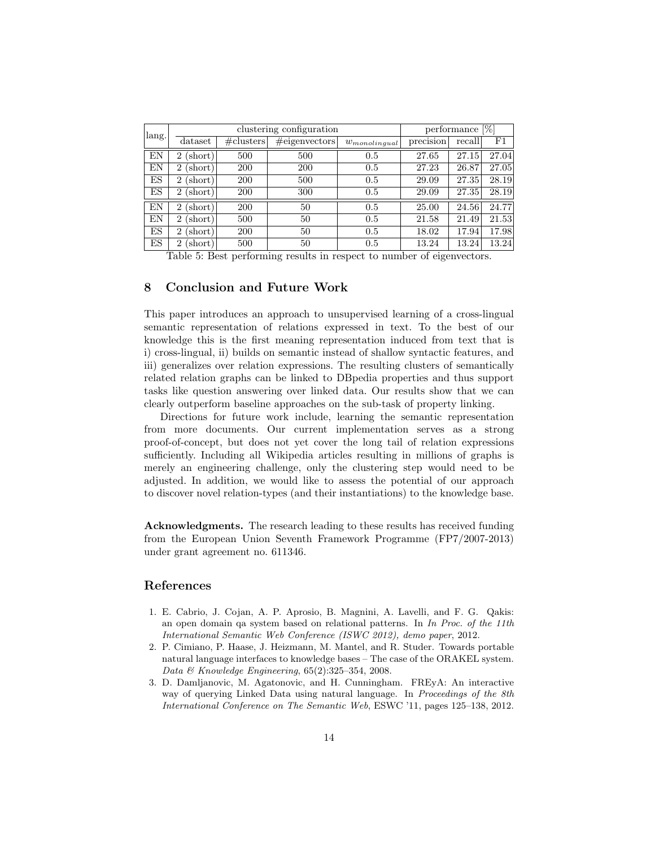<span id="page-13-4"></span>

| lang. |                                    | performance $\sqrt{\frac{1}{6}}$ |                   |                   |           |        |             |
|-------|------------------------------------|----------------------------------|-------------------|-------------------|-----------|--------|-------------|
|       | dataset                            | $\# clusters$                    | $\#$ eigenvectors | $w_{monolingual}$ | precision | recall | $_{\rm F1}$ |
| EN    | short)<br>$\overline{2}$           | 500                              | 500               | 0.5               | 27.65     | 27.15  | 27.04       |
| EN    | (short)<br>$\overline{2}$          | <b>200</b>                       | <b>200</b>        | 0.5               | 27.23     | 26.87  | 27.05       |
| ES    | (short)<br>$\overline{2}$          | 200                              | 500               | 0.5               | 29.09     | 27.35  | 28.19       |
| ES    | (short)<br>$\overline{2}$          | <b>200</b>                       | 300               | 0.5               | 29.09     | 27.35  | 28.19       |
| EN    | $(\text{short})$<br>$\overline{2}$ | 200                              | 50                | 0.5               | 25.00     | 24.56  | 24.77       |
| EN    | (short)<br>$\overline{2}$          | 500                              | 50                | 0.5               | 21.58     | 21.49  | 21.53       |
| ES    | $(\text{short})$<br>$\overline{2}$ | 200                              | 50                | 0.5               | 18.02     | 17.94  | 17.98       |
| ES    | $\overline{2}$<br>$(\text{short})$ | 500                              | 50                | 0.5               | 13.24     | 13.24  | 13.24       |

Table 5: Best performing results in respect to number of eigenvectors.

# <span id="page-13-0"></span>8 Conclusion and Future Work

This paper introduces an approach to unsupervised learning of a cross-lingual semantic representation of relations expressed in text. To the best of our knowledge this is the first meaning representation induced from text that is i) cross-lingual, ii) builds on semantic instead of shallow syntactic features, and iii) generalizes over relation expressions. The resulting clusters of semantically related relation graphs can be linked to DBpedia properties and thus support tasks like question answering over linked data. Our results show that we can clearly outperform baseline approaches on the sub-task of property linking.

Directions for future work include, learning the semantic representation from more documents. Our current implementation serves as a strong proof-of-concept, but does not yet cover the long tail of relation expressions sufficiently. Including all Wikipedia articles resulting in millions of graphs is merely an engineering challenge, only the clustering step would need to be adjusted. In addition, we would like to assess the potential of our approach to discover novel relation-types (and their instantiations) to the knowledge base.

Acknowledgments. The research leading to these results has received funding from the European Union Seventh Framework Programme (FP7/2007-2013) under grant agreement no. 611346.

# References

- <span id="page-13-1"></span>1. E. Cabrio, J. Cojan, A. P. Aprosio, B. Magnini, A. Lavelli, and F. G. Qakis: an open domain qa system based on relational patterns. In In Proc. of the 11th International Semantic Web Conference (ISWC 2012), demo paper, 2012.
- <span id="page-13-2"></span>2. P. Cimiano, P. Haase, J. Heizmann, M. Mantel, and R. Studer. Towards portable natural language interfaces to knowledge bases – The case of the ORAKEL system. Data  $\mathcal B$  Knowledge Engineering, 65(2):325-354, 2008.
- <span id="page-13-3"></span>3. D. Damljanovic, M. Agatonovic, and H. Cunningham. FREyA: An interactive way of querying Linked Data using natural language. In Proceedings of the 8th International Conference on The Semantic Web, ESWC '11, pages 125–138, 2012.